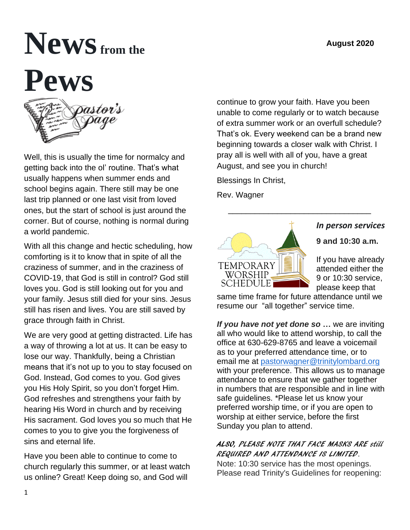# **Newsfrom the Pews**



Well, this is usually the time for normalcy and getting back into the ol' routine. That's what usually happens when summer ends and school begins again. There still may be one last trip planned or one last visit from loved ones, but the start of school is just around the corner. But of course, nothing is normal during a world pandemic.

With all this change and hectic scheduling, how comforting is it to know that in spite of all the craziness of summer, and in the craziness of COVID-19, that God is still in control? God still loves you. God is still looking out for you and your family. Jesus still died for your sins. Jesus still has risen and lives. You are still saved by grace through faith in Christ.

We are very good at getting distracted. Life has a way of throwing a lot at us. It can be easy to lose our way. Thankfully, being a Christian means that it's not up to you to stay focused on God. Instead, God comes to you. God gives you His Holy Spirit, so you don't forget Him. God refreshes and strengthens your faith by hearing His Word in church and by receiving His sacrament. God loves you so much that He comes to you to give you the forgiveness of sins and eternal life.

Have you been able to continue to come to church regularly this summer, or at least watch us online? Great! Keep doing so, and God will

continue to grow your faith. Have you been unable to come regularly or to watch because of extra summer work or an overfull schedule? That's ok. Every weekend can be a brand new beginning towards a closer walk with Christ. I pray all is well with all of you, have a great August, and see you in church!

 $\frac{1}{\sqrt{2}}$  ,  $\frac{1}{\sqrt{2}}$  ,  $\frac{1}{\sqrt{2}}$  ,  $\frac{1}{\sqrt{2}}$  ,  $\frac{1}{\sqrt{2}}$  ,  $\frac{1}{\sqrt{2}}$  ,  $\frac{1}{\sqrt{2}}$  ,  $\frac{1}{\sqrt{2}}$  ,  $\frac{1}{\sqrt{2}}$  ,  $\frac{1}{\sqrt{2}}$  ,  $\frac{1}{\sqrt{2}}$  ,  $\frac{1}{\sqrt{2}}$  ,  $\frac{1}{\sqrt{2}}$  ,  $\frac{1}{\sqrt{2}}$  ,  $\frac{1}{\sqrt{2}}$ 

Blessings In Christ,

Rev. Wagner



# *In person services*

**9 and 10:30 a.m.** 

If you have already attended either the 9 or 10:30 service, please keep that

same time frame for future attendance until we resume our "all together" service time.

*If you have not yet done so* **…** we are inviting all who would like to attend worship, to call the office at 630-629-8765 and leave a voicemail as to your preferred attendance time, or to email me at [pastorwagner@trinitylombard.org](mailto:pastorwagner@trinitylombard.org) with your preference. This allows us to manage attendance to ensure that we gather together in numbers that are responsible and in line with safe guidelines. \*Please let us know your preferred worship time, or if you are open to worship at either service, before the first Sunday you plan to attend.

## ALSO, PLEASE NOTE THAT FACE MASKS ARE still REQUIRED AND ATTENDANCE IS LIMITED.

Note: 10:30 service has the most openings. Please read Trinity's Guidelines for reopening: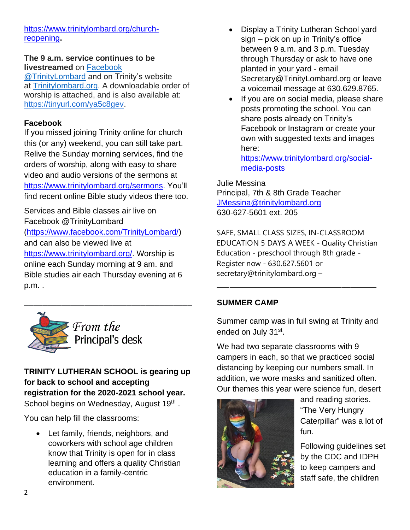[https://www.trinitylombard.org/church](https://www.trinitylombard.org/church-reopening)[reopening](https://www.trinitylombard.org/church-reopening)**.**

#### **The 9 a.m. service continues to be livestreamed** on [Facebook](https://www.facebook.com/TrinityLombard/)

[@TrinityLombard](https://www.facebook.com/TrinityLombard/) and on Trinity's website at [Trinitylombard.org.](https://www.trinitylombard.org/) A downloadable order of worship is attached, and is also available at: [https://tinyurl.com/ya5c8gev.](https://tinyurl.com/ya5c8gev)

#### **Facebook**

If you missed joining Trinity online for church this (or any) weekend, you can still take part. Relive the Sunday morning services, find the orders of worship, along with easy to share video and audio versions of the sermons at [https://www.trinitylombard.org/sermons.](about:blank) You'll find recent online Bible study videos there too.

Services and Bible classes air live on Facebook @TrinityLombard [\(https://www.facebook.com/TrinityLombard/\)](about:blank) and can also be viewed live at [https://www.trinitylombard.org/.](about:blank) Worship is online each Sunday morning at 9 am. and Bible studies air each Thursday evening at 6 p.m. .



From the Principal's desk

\_\_\_\_\_\_\_\_\_\_\_\_\_\_\_\_\_\_\_\_\_\_\_\_\_\_\_\_\_\_\_\_\_\_\_\_

**TRINITY LUTHERAN SCHOOL is gearing up for back to school and accepting registration for the 2020-2021 school year.** School begins on Wednesday, August 19<sup>th</sup>.

You can help fill the classrooms:

• Let family, friends, neighbors, and coworkers with school age children know that Trinity is open for in class learning and offers a quality Christian education in a family-centric environment.

- Display a Trinity Lutheran School yard sign – pick on up in Trinity's office between 9 a.m. and 3 p.m. Tuesday through Thursday or ask to have one planted in your yard - email Secretary@TrinityLombard.org or leave a voicemail message at 630.629.8765.
- If you are on social media, please share posts promoting the school. You can share posts already on Trinity's Facebook or Instagram or create your own with suggested texts and images here:

[https://www.trinitylombard.org/social](about:blank)[media-posts](about:blank)

Julie Messina Principal, 7th & 8th Grade Teacher [JMessina@trinitylombard.org](mailto:JMessina@trinitylombard.org)  630-627-5601 ext. 205

SAFE, SMALL CLASS SIZES, IN-CLASSROOM EDUCATION 5 DAYS A WEEK - Quality Christian Education - preschool through 8th grade - Register now - 630.627.5601 or secretary@trinitylombard.org –

\_\_\_\_\_\_\_\_\_\_\_\_\_\_\_\_\_\_\_\_\_\_\_\_\_\_\_\_\_\_\_\_\_\_\_\_\_\_\_\_\_\_\_\_\_\_\_\_\_\_

#### **SUMMER CAMP**

Summer camp was in full swing at Trinity and ended on July 31st.

We had two separate classrooms with 9 campers in each, so that we practiced social distancing by keeping our numbers small. In addition, we wore masks and sanitized often. Our themes this year were science fun, desert



and reading stories. "The Very Hungry Caterpillar" was a lot of fun.

Following guidelines set by the CDC and IDPH to keep campers and staff safe, the children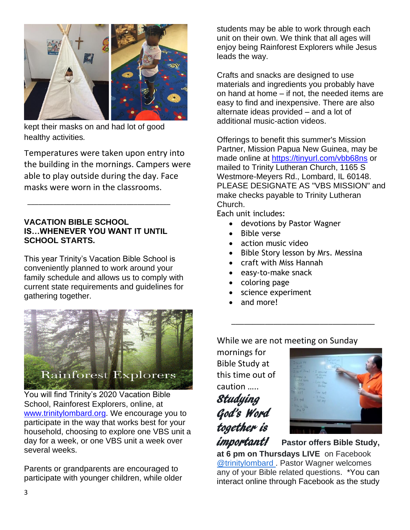

kept their masks on and had lot of good healthy activities*.* 

Temperatures were taken upon entry into the building in the mornings. Campers were able to play outside during the day. Face masks were worn in the classrooms.

#### **VACATION BIBLE SCHOOL IS…WHENEVER YOU WANT IT UNTIL SCHOOL STARTS.**

\_\_\_\_\_\_\_\_\_\_\_\_\_\_\_\_\_\_\_\_\_\_\_\_\_\_\_\_\_\_\_\_\_\_\_\_\_\_\_

This year Trinity's Vacation Bible School is conveniently planned to work around your family schedule and allows us to comply with current state requirements and guidelines for gathering together.



You will find Trinity's 2020 Vacation Bible School, Rainforest Explorers, online, at [www.trinitylombard.org.](about:blank) We encourage you to participate in the way that works best for your household, choosing to explore one VBS unit a day for a week, or one VBS unit a week over several weeks.

Parents or grandparents are encouraged to participate with younger children, while older students may be able to work through each unit on their own. We think that all ages will enjoy being Rainforest Explorers while Jesus leads the way.

Crafts and snacks are designed to use materials and ingredients you probably have on hand at home – if not, the needed items are easy to find and inexpensive. There are also alternate ideas provided – and a lot of additional music-action videos.

Offerings to benefit this summer's Mission Partner, Mission Papua New Guinea, may be made online at [https://tinyurl.com/vbb68ns](about:blank) or mailed to Trinity Lutheran Church, 1165 S Westmore-Meyers Rd., Lombard, IL 60148. PLEASE DESIGNATE AS "VBS MISSION" and make checks payable to Trinity Lutheran Church.

Each unit includes:

- devotions by Pastor Wagner
- Bible verse
- action music video
- Bible Story lesson by Mrs. Messina
- craft with Miss Hannah
- easy-to-make snack
- coloring page
- science experiment
- and more!

While we are not meeting on Sunday

 $\overline{\phantom{a}}$  , which is the set of the set of the set of the set of the set of the set of the set of the set of the set of the set of the set of the set of the set of the set of the set of the set of the set of the set of

mornings for Bible Study at this time out of caution …..

Studying God's Word together is



important! **Pastor offers Bible Study, at 6 pm on Thursdays LIVE** on Facebook [@trinitylombard](https://www.facebook.com/TrinityLombard/) . Pastor Wagner welcomes any of your Bible related questions. \*You can interact online through Facebook as the study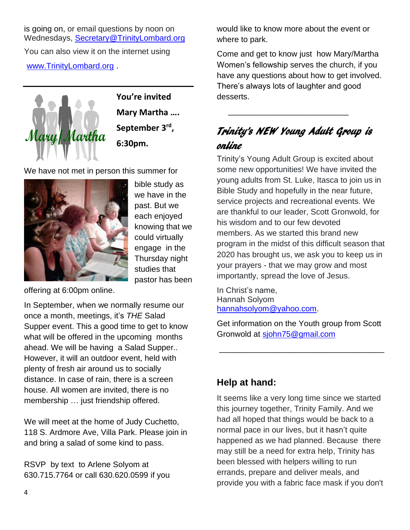is going on, or email questions by noon on Wednesdays, [Secretary@TrinityLombard.org](mailto:Secretary@TrinityLombard.org) You can also view it on the internet using [www.TrinityLombard.org](http://www.trinitylombard.org/).



**You're invited Mary Martha …. September 3rd , 6:30pm.**

We have not met in person this summer for



bible study as we have in the past. But we each enjoyed knowing that we could virtually engage in the Thursday night studies that pastor has been

offering at 6:00pm online.

In September, when we normally resume our once a month, meetings, it's *THE* Salad Supper event. This a good time to get to know what will be offered in the upcoming months ahead. We will be having a Salad Supper.. However, it will an outdoor event, held with plenty of fresh air around us to socially distance. In case of rain, there is a screen house. All women are invited, there is no membership … just friendship offered.

We will meet at the home of Judy Cuchetto, 118 S. Ardmore Ave, Villa Park. Please join in and bring a salad of some kind to pass.

RSVP by text to Arlene Solyom at 630.715.7764 or call 630.620.0599 if you would like to know more about the event or where to park.

Come and get to know just how Mary/Martha Women's fellowship serves the church, if you have any questions about how to get involved. There's always lots of laughter and good desserts.

# Trinity's NEW Young Adult Group is online

 $\frac{1}{\sqrt{2}}$  ,  $\frac{1}{\sqrt{2}}$  ,  $\frac{1}{\sqrt{2}}$  ,  $\frac{1}{\sqrt{2}}$  ,  $\frac{1}{\sqrt{2}}$  ,  $\frac{1}{\sqrt{2}}$  ,  $\frac{1}{\sqrt{2}}$  ,  $\frac{1}{\sqrt{2}}$  ,  $\frac{1}{\sqrt{2}}$  ,  $\frac{1}{\sqrt{2}}$  ,  $\frac{1}{\sqrt{2}}$  ,  $\frac{1}{\sqrt{2}}$  ,  $\frac{1}{\sqrt{2}}$  ,  $\frac{1}{\sqrt{2}}$  ,  $\frac{1}{\sqrt{2}}$ 

Trinity's Young Adult Group is excited about some new opportunities! We have invited the young adults from St. Luke, Itasca to join us in Bible Study and hopefully in the near future, service projects and recreational events. We are thankful to our leader, Scott Gronwold, for his wisdom and to our few devoted members. As we started this brand new program in the midst of this difficult season that 2020 has brought us, we ask you to keep us in your prayers - that we may grow and most importantly, spread the love of Jesus.

In Christ's name, Hannah Solyom [hannahsolyom@yahoo.com.](about:blank)

Get information on the Youth group from Scott Gronwold at [sjohn75@gmail.com](about:blank)

\_\_\_\_\_\_\_\_\_\_\_\_\_\_\_\_\_\_\_\_\_\_\_\_\_\_\_\_\_\_\_\_\_\_\_\_\_

## **Help at hand:**

It seems like a very long time since we started this journey together, Trinity Family. And we had all hoped that things would be back to a normal pace in our lives, but it hasn't quite happened as we had planned. Because there may still be a need for extra help, Trinity has been blessed with helpers willing to run errands, prepare and deliver meals, and provide you with a fabric face mask if you don't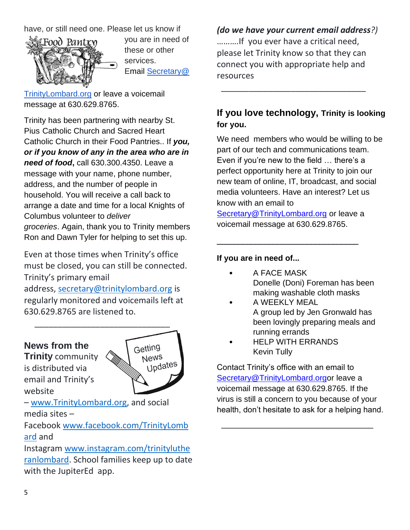#### have, or still need one. Please let us know if



you are in need of these or other services. Email [Secretary@](mailto:Secretary@TrinityLombard.org) 

[TrinityLombard.org](mailto:Secretary@TrinityLombard.org) or leave a voicemail message at 630.629.8765.

Trinity has been partnering with nearby St. Pius Catholic Church and Sacred Heart Catholic Church in their Food Pantries.. If *you, or if you know of any in the area who are in need of food***,** call 630.300.4350. Leave a message with your name, phone number, address, and the number of people in household. You will receive a call back to arrange a date and time for a local Knights of Columbus volunteer to *deliver groceries*. Again, thank you to Trinity members Ron and Dawn Tyler for helping to set this up.

Even at those times when Trinity's office must be closed, you can still be connected. Trinity's primary email

address, [secretary@trinitylombard.org](mailto:secretary@trinitylombard.org) is regularly monitored and voicemails left at 630.629.8765 are listened to.

#### **News from the**

**Trinity** community is distributed via email and Trinity's website



– [www.TrinityLombard.org,](http://www.trinitylombard.org/) and social media sites –

Facebook [www.facebook.com/TrinityLomb](http://www.facebook.com/TrinityLombard/) [ard](http://www.facebook.com/TrinityLombard/) and

Instagram [www.instagram.com/trinityluthe](http://www.instagram.com/trinitylutheranlombard/) [ranlombard.](http://www.instagram.com/trinitylutheranlombard/) School families keep up to date with the JupiterEd app.

*(do we have your current email address?)* ……….If you ever have a critical need, please let Trinity know so that they can connect you with appropriate help and resources

\_\_\_\_\_\_\_\_\_\_\_\_\_\_\_\_\_\_\_\_\_\_\_\_\_\_\_\_\_\_\_

## **If you love technology, Trinity is looking for you.**

We need members who would be willing to be part of our tech and communications team. Even if you're new to the field … there's a perfect opportunity here at Trinity to join our new team of online, IT, broadcast, and social media volunteers. Have an interest? Let us know with an email to [Secretary@TrinityLombard.org](about:blank) or leave a voicemail message at 630.629.8765.

#### **If you are in need of...**

**A FACE MASK** Donelle (Doni) Foreman has been making washable cloth masks

\_\_\_\_\_\_\_\_\_\_\_\_\_\_\_\_\_\_\_\_\_\_\_\_\_\_\_\_\_\_\_\_\_

- A WEEKLY MEAL A group led by Jen Gronwald has been lovingly preparing meals and running errands
- HELP WITH ERRANDS Kevin Tully

Contact Trinity's office with an email to [Secretary@TrinityLombard.orgo](about:blank)r leave a voicemail message at 630.629.8765. If the virus is still a concern to you because of your health, don't hesitate to ask for a helping hand.

 $\overline{\phantom{a}}$  , which is the set of the set of the set of the set of the set of the set of the set of the set of the set of the set of the set of the set of the set of the set of the set of the set of the set of the set of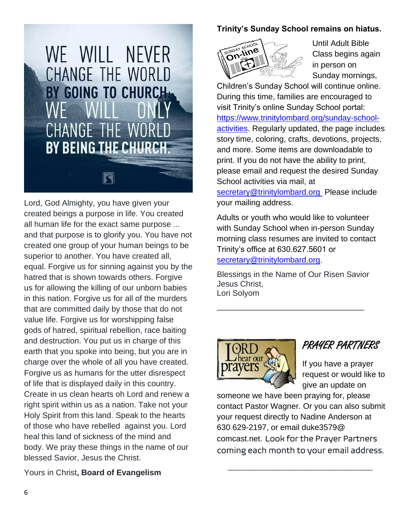

Lord, God Almighty, you have given your created beings a purpose in life. You created all human life for the exact same purpose ... and that purpose is to glorify you. You have not created one group of your human beings to be superior to another. You have created all, equal. Forgive us for sinning against you by the hatred that is shown towards others. Forgive us for allowing the killing of our unborn babies in this nation. Forgive us for all of the murders that are committed daily by those that do not value life. Forgive us for worshipping false gods of hatred, spiritual rebellion, race baiting and destruction. You put us in charge of this earth that you spoke into being, but you are in charge over the whole of all you have created. Forgive us as humans for the utter disrespect of life that is displayed daily in this country. Create in us clean hearts oh Lord and renew a right spirit within us as a nation. Take not your Holy Spirit from this land. Speak to the hearts of those who have rebelled against you. Lord heal this land of sickness of the mind and body. We pray these things in the name of our blessed Savior, Jesus the Christ.

Yours in Christ**, Board of Evangelism** 

#### **Trinity's Sunday School remains on hiatus.**



Until Adult Bible Class begins again in person on Sunday mornings,

Children's Sunday School will continue online. During this time, families are encouraged to visit Trinity's online Sunday School portal: [https://www.trinitylombard.org/sunday-school](about:blank)[activities.](about:blank) Regularly updated, the page includes story time, coloring, crafts, devotions, projects, and more. Some items are downloadable to print. If you do not have the ability to print, please email and request the desired Sunday School activities via mail, at

[secretary@trinitylombard.org](about:blank) Please include your mailing address.

Adults or youth who would like to volunteer with Sunday School when in-person Sunday morning class resumes are invited to contact Trinity's office at 630.627.5601 or [secretary@trinitylombard.org.](about:blank)

Blessings in the Name of Our Risen Savior Jesus Christ, Lori Solyom

\_\_\_\_\_\_\_\_\_\_\_\_\_\_\_\_\_\_\_\_\_\_\_\_\_\_\_\_\_\_\_\_\_



## PRAYER PARTNERS

If you have a prayer request or would like to give an update on

someone we have been praying for, please contact Pastor Wagner. Or you can also submit your request directly to Nadine Anderson at 630 629-2197, or email duke3579@ comcast.net. Look for the Prayer Partners coming each month to your email address.

 $\frac{1}{\sqrt{2}}$  ,  $\frac{1}{\sqrt{2}}$  ,  $\frac{1}{\sqrt{2}}$  ,  $\frac{1}{\sqrt{2}}$  ,  $\frac{1}{\sqrt{2}}$  ,  $\frac{1}{\sqrt{2}}$  ,  $\frac{1}{\sqrt{2}}$  ,  $\frac{1}{\sqrt{2}}$  ,  $\frac{1}{\sqrt{2}}$  ,  $\frac{1}{\sqrt{2}}$  ,  $\frac{1}{\sqrt{2}}$  ,  $\frac{1}{\sqrt{2}}$  ,  $\frac{1}{\sqrt{2}}$  ,  $\frac{1}{\sqrt{2}}$  ,  $\frac{1}{\sqrt{2}}$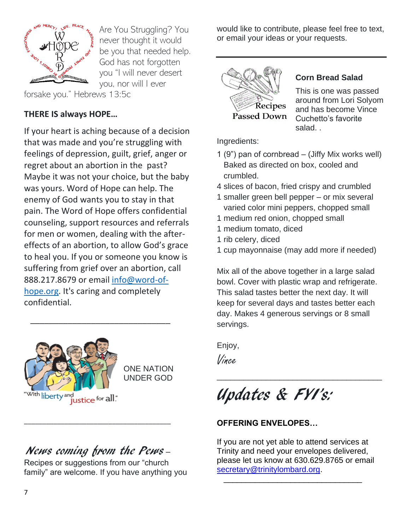

Are You Struggling? You never thought it would be you that needed help. God has not forgotten you "I will never desert you, nor will I ever

forsake you." Hebrews 13:5c

## **THERE IS always HOPE…**

If your heart is aching because of a decision that was made and you're struggling with feelings of depression, guilt, grief, anger or regret about an abortion in the past? Maybe it was not your choice, but the baby was yours. Word of Hope can help. The enemy of God wants you to stay in that pain. The Word of Hope offers confidential counseling, support resources and referrals for men or women, dealing with the aftereffects of an abortion, to allow God's grace to heal you. If you or someone you know is suffering from grief over an abortion, call 888.217.8679 or email [info@word-of](mailto:info@word-of-hope.org)[hope.org.](mailto:info@word-of-hope.org) It's caring and completely confidential.



ONE NATION UNDER GOD

# News coming from the Pews –

\_\_\_\_\_\_\_\_\_\_\_\_\_\_\_\_\_\_\_\_\_\_\_\_\_\_\_\_\_\_\_\_\_\_\_\_\_\_\_\_

 $\overline{\phantom{a}}$  , and the set of the set of the set of the set of the set of the set of the set of the set of the set of the set of the set of the set of the set of the set of the set of the set of the set of the set of the s

Recipes or suggestions from our "church family" are welcome. If you have anything you would like to contribute, please feel free to text, or email your ideas or your requests.



#### **Corn Bread Salad**

This is one was passed around from Lori Solyom and has become Vince Cuchetto's favorite salad. .

Ingredients:

- 1 (9") pan of cornbread (Jiffy Mix works well) Baked as directed on box, cooled and crumbled.
- 4 slices of bacon, fried crispy and crumbled
- 1 smaller green bell pepper or mix several varied color mini peppers, chopped small
- 1 medium red onion, chopped small
- 1 medium tomato, diced
- 1 rib celery, diced
- 1 cup mayonnaise (may add more if needed)

Mix all of the above together in a large salad bowl. Cover with plastic wrap and refrigerate. This salad tastes better the next day. It will keep for several days and tastes better each day. Makes 4 generous servings or 8 small servings.

\_\_\_\_\_\_\_\_\_\_\_\_\_\_\_\_\_\_\_\_\_\_\_\_\_\_\_\_\_\_\_\_\_\_\_\_\_

Enjoy,

Vince

Updates & FYI's:

### **OFFERING ENVELOPES…**

If you are not yet able to attend services at Trinity and need your envelopes delivered, please let us know at 630.629.8765 or email [secretary@trinitylombard.org.](mailto:secretary@trinitylombard.org)

 $\overline{\phantom{a}}$  , and the contract of the contract of the contract of  $\overline{\phantom{a}}$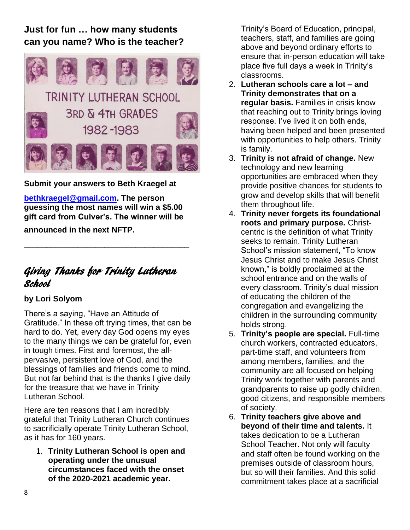## **Just for fun … how many students can you name? Who is the teacher?**



**Submit your answers to Beth Kraegel at**

**[bethkraegel@gmail.com.](mailto:bethkraegel@gmail.com) The person guessing the most names will win a \$5.00 gift card from Culver's. The winner will be**

\_\_\_\_\_\_\_\_\_\_\_\_\_\_\_\_\_\_\_\_\_\_\_\_\_\_\_\_\_\_\_\_\_\_\_\_\_

**announced in the next NFTP.**

## Giving Thanks for Trinity Lutheran School

#### **by Lori Solyom**

There's a saying, "Have an Attitude of Gratitude." In these oft trying times, that can be hard to do. Yet, every day God opens my eyes to the many things we can be grateful for, even in tough times. First and foremost, the allpervasive, persistent love of God, and the blessings of families and friends come to mind. But not far behind that is the thanks I give daily for the treasure that we have in Trinity Lutheran School.

Here are ten reasons that I am incredibly grateful that Trinity Lutheran Church continues to sacrificially operate Trinity Lutheran School, as it has for 160 years.

1. **Trinity Lutheran School is open and operating under the unusual circumstances faced with the onset of the 2020-2021 academic year.**

Trinity's Board of Education, principal, teachers, staff, and families are going above and beyond ordinary efforts to ensure that in-person education will take place five full days a week in Trinity's classrooms.

- 2. **Lutheran schools care a lot – and Trinity demonstrates that on a regular basis.** Families in crisis know that reaching out to Trinity brings loving response. I've lived it on both ends, having been helped and been presented with opportunities to help others. Trinity is family.
- 3. **Trinity is not afraid of change.** New technology and new learning opportunities are embraced when they provide positive chances for students to grow and develop skills that will benefit them throughout life.
- 4. **Trinity never forgets its foundational roots and primary purpose.** Christcentric is the definition of what Trinity seeks to remain. Trinity Lutheran School's mission statement, "To know Jesus Christ and to make Jesus Christ known," is boldly proclaimed at the school entrance and on the walls of every classroom. Trinity's dual mission of educating the children of the congregation and evangelizing the children in the surrounding community holds strong.
- 5. **Trinity's people are special.** Full-time church workers, contracted educators, part-time staff, and volunteers from among members, families, and the community are all focused on helping Trinity work together with parents and grandparents to raise up godly children, good citizens, and responsible members of society.
- 6. **Trinity teachers give above and beyond of their time and talents.** It takes dedication to be a Lutheran School Teacher. Not only will faculty and staff often be found working on the premises outside of classroom hours, but so will their families. And this solid commitment takes place at a sacrificial